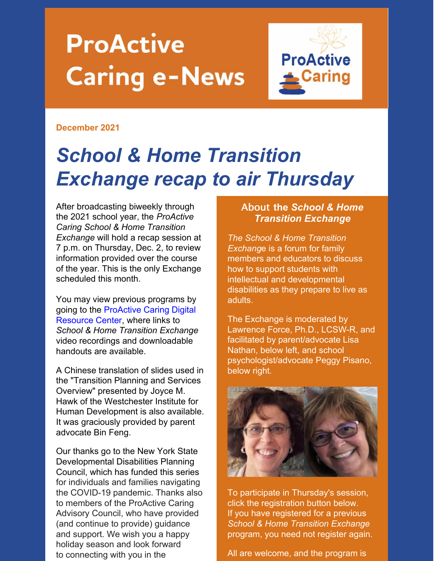# **ProActive Caring e-News**



#### **December 2021**

## *School & Home Transition Exchange recap to air Thursday*

After broadcasting biweekly through the 2021 school year, the *ProActive Caring School & Home Transition Exchange* will hold a recap session at 7 p.m. on Thursday, Dec. 2, to review information provided over the course of the year. This is the only Exchange scheduled this month.

You may view previous programs by going to the [ProActive](https://www.proactivecaring.org/school-exchange) Caring Digital Resource Center, where links to *School & Home Transition Exchange* video recordings and downloadable handouts are available.

A Chinese translation of slides used in the "Transition Planning and Services Overview" presented by Joyce M. Hawk of the Westchester Institute for Human Development is also available. It was graciously provided by parent advocate Bin Feng.

Our thanks go to the New York State Developmental Disabilities Planning Council, which has funded this series for individuals and families navigating the COVID-19 pandemic. Thanks also to members of the ProActive Caring Advisory Council, who have provided (and continue to provide) guidance and support. We wish you a happy holiday season and look forward to connecting with you in the

#### About **the** *School & Home Transition Exchange*

*The School & Home Transition Exchang*e is a forum for family members and educators to discuss how to support students with intellectual and developmental disabilities as they prepare to live as adults.

The Exchange is moderated by Lawrence Force, Ph.D., LCSW-R, and facilitated by parent/advocate Lisa Nathan, below left, and school psychologist/advocate Peggy Pisano, below right.



To participate in Thursday's session, click the registration button below. If you have registered for a previous *School & Home Transition Exchange* program, you need not register again.

All are welcome, and the program is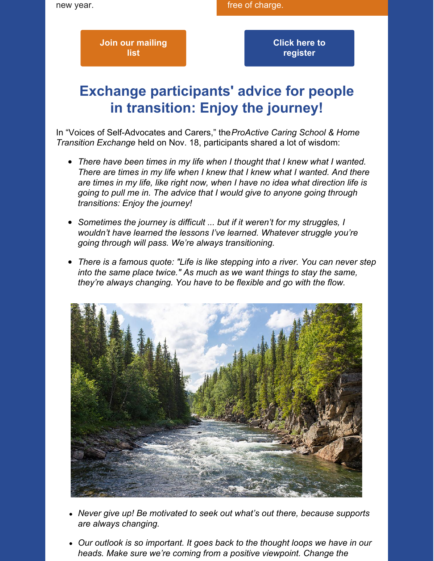**Join our [mailing](https://docs.google.com/forms/d/e/1FAIpQLSdrgt0RI-u_VgrJR_3QOyK7Rel4WZnzeq-95Ypwha73MFn0Kg/viewform) list**

**Click here to [register](https://docs.google.com/forms/d/e/1FAIpQLSfJFumZm2lmhNI7CG-xdUn8CCsN3WQp5KH6XSYygk06w4V1Nw/viewform)**

## **Exchange participants' advice for people in transition: Enjoy the journey!**

In "Voices of Self-Advocates and Carers," the*ProActive Caring School & Home Transition Exchange* held on Nov. 18, participants shared a lot of wisdom:

- *There have been times in my life when I thought that I knew what I wanted. There are times in my life when I knew that I knew what I wanted. And there are times in my life, like right now, when I have no idea what direction life is going to pull me in. The advice that I would give to anyone going through transitions: Enjoy the journey!*
- *Sometimes the journey is difficult ... but if it weren't for my struggles, I wouldn't have learned the lessons I've learned. Whatever struggle you're going through will pass. We're always transitioning.*
- *There is a famous quote: "Life is like stepping into a river. You can never step into the same place twice." As much as we want things to stay the same, they're always changing. You have to be flexible and go with the flow.*



- *Never give up! Be motivated to seek out what's out there, because supports are always changing.*
- *Our outlook is so important. It goes back to the thought loops we have in our heads. Make sure we're coming from a positive viewpoint. Change the*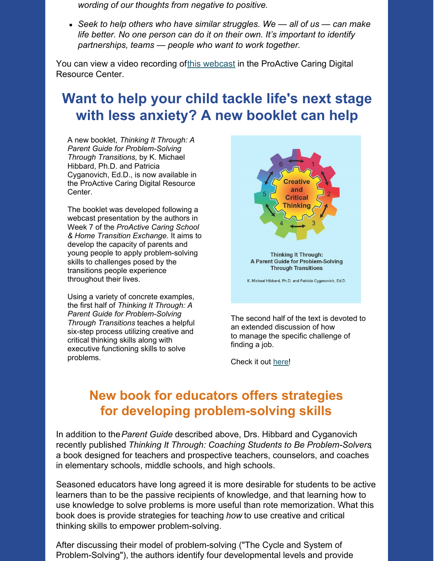*wording of our thoughts from negative to positive.*

*Seek to help others who have similar struggles. We — all of us — can make life better. No one person can do it on their own. It's important to identify partnerships, teams — people who want to work together.*

You can view a video recording ofthis [webcast](https://www.youtube.com/watch?v=qTtuYjJkBNc&list=PLDGO-PZFypRnVx5j7OKc0IahnZ-kc7rlW&index=15) in the ProActive Caring Digital Resource Center.

## **Want to help your child tackle life's next stage with less anxiety? A new booklet can help**

A new booklet, *Thinking It Through: A Parent Guide for Problem-Solving Through Transitions,* by K. Michael Hibbard, Ph.D. and Patricia Cyganovich, Ed.D., is now available in the ProActive Caring Digital Resource Center.

The booklet was developed following a webcast presentation by the authors in Week 7 of the *ProActive Caring School & Home Transition Exchange*. It aims to develop the capacity of parents and young people to apply problem-solving skills to challenges posed by the transitions people experience throughout their lives.

Using a variety of concrete examples, the first half of *Thinking It Through: A Parent Guide for Problem-Solving Through Transitions* teaches a helpful six-step process utilizing creative and critical thinking skills along with executive functioning skills to solve problems.



The second half of the text is devoted to an extended discussion of how to manage the specific challenge of finding a job.

Check it out [here](https://issuu.com/proactivecaringprogram/docs/thinking_it_through_a_parent_guide_to_problem_so)!

### **New book for educators offers strategies for developing problem-solving skills**

In addition to the*Parent Guide* described above, Drs. Hibbard and Cyganovich recently published *Thinking It Through: Coaching Students to Be Problem-Solvers*, a book designed for teachers and prospective teachers, counselors, and coaches in elementary schools, middle schools, and high schools.

Seasoned educators have long agreed it is more desirable for students to be active learners than to be the passive recipients of knowledge, and that learning how to use knowledge to solve problems is more useful than rote memorization. What this book does is provide strategies for teaching *how* to use creative and critical thinking skills to empower problem-solving.

After discussing their model of problem-solving ("The Cycle and System of Problem-Solving"), the authors identify four developmental levels and provide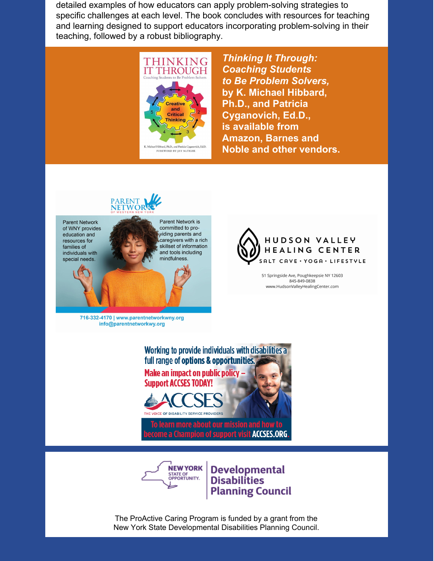detailed examples of how educators can apply problem-solving strategies to specific challenges at each level. The book concludes with resources for teaching and learning designed to support educators incorporating problem-solving in their teaching, followed by a robust bibliography.



*Thinking It Through: Coaching Students to Be Problem Solvers,* **by K. Michael Hibbard, Ph.D., and Patricia Cyganovich, Ed.D., is available from Amazon, Barnes and Noble and other vendors.**





51 Springside Ave, Poughkeepsie NY 12603 845-849-0838 www.HudsonValleyHealingCenter.com

Working to provide individuals with disabilities a full range of options & opportunities. Make an impact on public policy – **Support ACCSES TODAY!** To learn more about our mission and how to

a Champion of support visit ACCSES.ORG



**Developmental Disabilities Planning Council** 

The ProActive Caring Program is funded by a grant from the New York State Developmental Disabilities Planning Council.